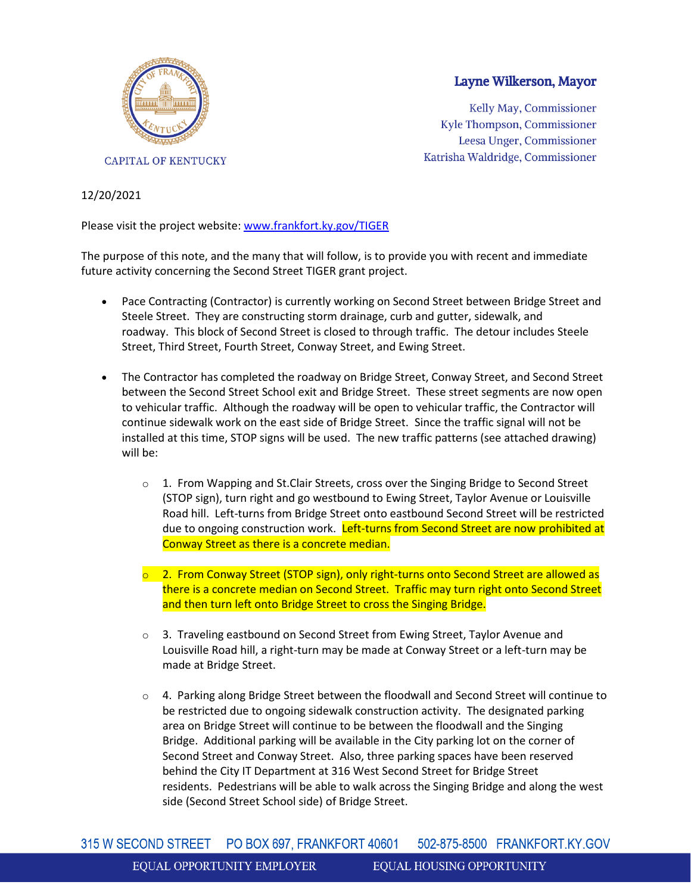

## Layne Wilkerson, Mayor

Kelly May, Commissioner Kyle Thompson, Commissioner Leesa Unger, Commissioner Katrisha Waldridge, Commissioner

## 12/20/2021

Please visit the project website: [www.frankfort.ky.gov/TIGER](https://us-east-2.protection.sophos.com/?d=ky.gov&u=aHR0cDovL3d3dy5mcmFua2ZvcnQua3kuZ292L1RJR0VS&i=NWY4NWUzODAzMGRjMDYwZTBhN2I0MjIy&t=bmt6R2Q3QlVyNUp1eVR6SGVwbUJnQkJMRUE5YXhWR2FlZWlrRlFHd1FJWT0=&h=5107ff473dfb46de9c99edda9afdc01d)

The purpose of this note, and the many that will follow, is to provide you with recent and immediate future activity concerning the Second Street TIGER grant project.

- Pace Contracting (Contractor) is currently working on Second Street between Bridge Street and Steele Street. They are constructing storm drainage, curb and gutter, sidewalk, and roadway. This block of Second Street is closed to through traffic. The detour includes Steele Street, Third Street, Fourth Street, Conway Street, and Ewing Street.
- The Contractor has completed the roadway on Bridge Street, Conway Street, and Second Street between the Second Street School exit and Bridge Street. These street segments are now open to vehicular traffic. Although the roadway will be open to vehicular traffic, the Contractor will continue sidewalk work on the east side of Bridge Street. Since the traffic signal will not be installed at this time, STOP signs will be used. The new traffic patterns (see attached drawing) will be:
	- $\circ$  1. From Wapping and St.Clair Streets, cross over the Singing Bridge to Second Street (STOP sign), turn right and go westbound to Ewing Street, Taylor Avenue or Louisville Road hill. Left-turns from Bridge Street onto eastbound Second Street will be restricted due to ongoing construction work. Left-turns from Second Street are now prohibited at Conway Street as there is a concrete median.
	- $\circ$  2. From Conway Street (STOP sign), only right-turns onto Second Street are allowed as there is a concrete median on Second Street. Traffic may turn right onto Second Street and then turn left onto Bridge Street to cross the Singing Bridge.
	- o 3. Traveling eastbound on Second Street from Ewing Street, Taylor Avenue and Louisville Road hill, a right-turn may be made at Conway Street or a left-turn may be made at Bridge Street.
	- o 4. Parking along Bridge Street between the floodwall and Second Street will continue to be restricted due to ongoing sidewalk construction activity. The designated parking area on Bridge Street will continue to be between the floodwall and the Singing Bridge. Additional parking will be available in the City parking lot on the corner of Second Street and Conway Street. Also, three parking spaces have been reserved behind the City IT Department at 316 West Second Street for Bridge Street residents. Pedestrians will be able to walk across the Singing Bridge and along the west side (Second Street School side) of Bridge Street.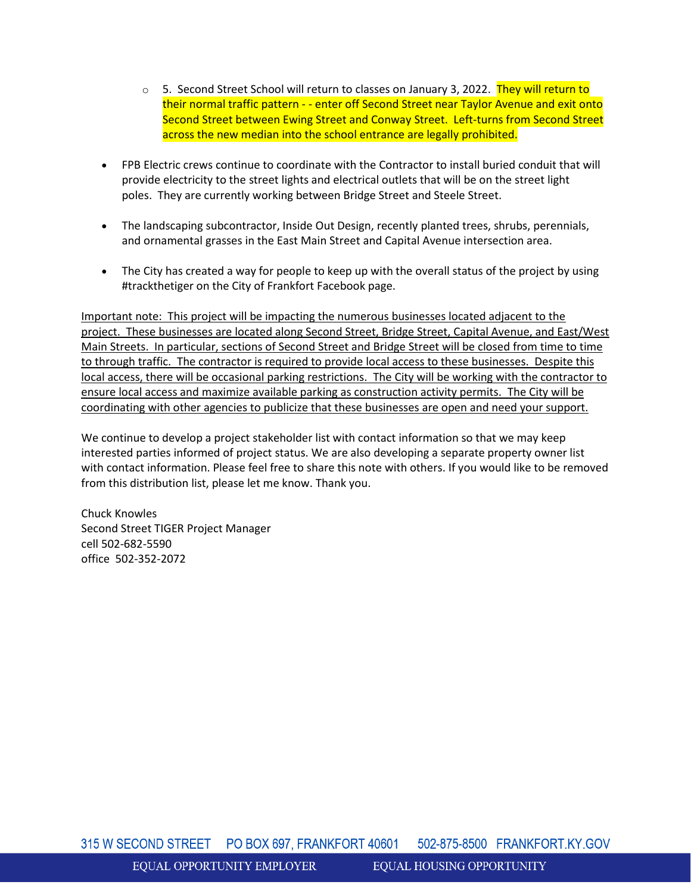- $\circ$  5. Second Street School will return to classes on January 3, 2022. They will return to their normal traffic pattern - - enter off Second Street near Taylor Avenue and exit onto Second Street between Ewing Street and Conway Street. Left-turns from Second Street across the new median into the school entrance are legally prohibited.
- FPB Electric crews continue to coordinate with the Contractor to install buried conduit that will provide electricity to the street lights and electrical outlets that will be on the street light poles. They are currently working between Bridge Street and Steele Street.
- The landscaping subcontractor, Inside Out Design, recently planted trees, shrubs, perennials, and ornamental grasses in the East Main Street and Capital Avenue intersection area.
- The City has created a way for people to keep up with the overall status of the project by using #trackthetiger on the City of Frankfort Facebook page.

Important note: This project will be impacting the numerous businesses located adjacent to the project. These businesses are located along Second Street, Bridge Street, Capital Avenue, and East/West Main Streets. In particular, sections of Second Street and Bridge Street will be closed from time to time to through traffic. The contractor is required to provide local access to these businesses. Despite this local access, there will be occasional parking restrictions. The City will be working with the contractor to ensure local access and maximize available parking as construction activity permits. The City will be coordinating with other agencies to publicize that these businesses are open and need your support.

We continue to develop a project stakeholder list with contact information so that we may keep interested parties informed of project status. We are also developing a separate property owner list with contact information. Please feel free to share this note with others. If you would like to be removed from this distribution list, please let me know. Thank you.

Chuck Knowles Second Street TIGER Project Manager cell 502-682-5590 office 502-352-2072